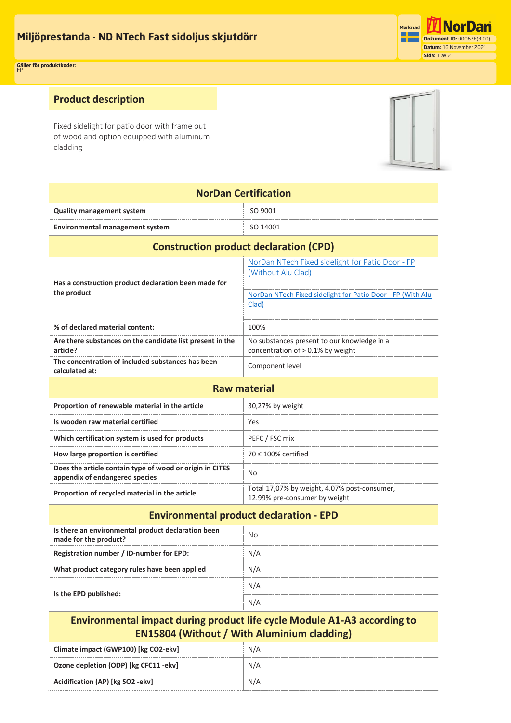**Miljöprestanda - ND NTech Fast sidoljus skjutdörr Miljøprestanda – ND NTech Fast sidefelt skyvedør Miljöprestanda – ND NTech Fast sidoljus skjutdörr**



**Gäller för produktkoder:** FP **Applicable for product codes:** FP

## **Product description**

Fixed sidelight for patio door with frame out of wood and option equipped with aluminum cladding



| <b>NorDan Certification</b>                                                                |                                                                                                                                               |  |  |
|--------------------------------------------------------------------------------------------|-----------------------------------------------------------------------------------------------------------------------------------------------|--|--|
| <b>Quality management system</b>                                                           | ISO 9001                                                                                                                                      |  |  |
| <b>Environmental management system</b>                                                     | ISO 14001                                                                                                                                     |  |  |
| <b>Construction product declaration (CPD)</b>                                              |                                                                                                                                               |  |  |
| Has a construction product declaration been made for<br>the product                        | NorDan NTech Fixed sidelight for Patio Door - FP<br>(Without Alu Clad)<br>NorDan NTech Fixed sidelight for Patio Door - FP (With Alu<br>Clad) |  |  |
| % of declared material content:                                                            | 100%                                                                                                                                          |  |  |
| Are there substances on the candidate list present in the<br>article?                      | No substances present to our knowledge in a<br>concentration of > 0.1% by weight                                                              |  |  |
| The concentration of included substances has been<br>calculated at:                        | Component level                                                                                                                               |  |  |
| <b>Raw material</b>                                                                        |                                                                                                                                               |  |  |
| Proportion of renewable material in the article                                            | 30,27% by weight                                                                                                                              |  |  |
| Is wooden raw material certified                                                           | Yes                                                                                                                                           |  |  |
| Which certification system is used for products                                            | PEFC / FSC mix                                                                                                                                |  |  |
| How large proportion is certified                                                          | $70 \le 100\%$ certified                                                                                                                      |  |  |
| Does the article contain type of wood or origin in CITES<br>appendix of endangered species | No                                                                                                                                            |  |  |
| Proportion of recycled material in the article                                             | Total 17,07% by weight, 4.07% post-consumer,<br>12.99% pre-consumer by weight                                                                 |  |  |
| <b>Environmental product declaration - EPD</b>                                             |                                                                                                                                               |  |  |
| Is there an environmental product declaration been<br>made for the product?                | <b>No</b>                                                                                                                                     |  |  |
| Registration number / ID-number for EPD:                                                   | N/A                                                                                                                                           |  |  |
| What product category rules have been applied                                              | N/A                                                                                                                                           |  |  |
| Is the EPD published:                                                                      | N/A                                                                                                                                           |  |  |
|                                                                                            |                                                                                                                                               |  |  |

## **Environmental impact during product life cycle Module A1-A3 according to EN15804 (Without / With Aluminium cladding)**

N/A

| Climate impact (GWP100) [kg CO2-ekv]  | N/A |
|---------------------------------------|-----|
| Ozone depletion (ODP) [kg CFC11 -ekv] | N/A |
| Acidification (AP) [kg SO2 -ekv]      | N/A |